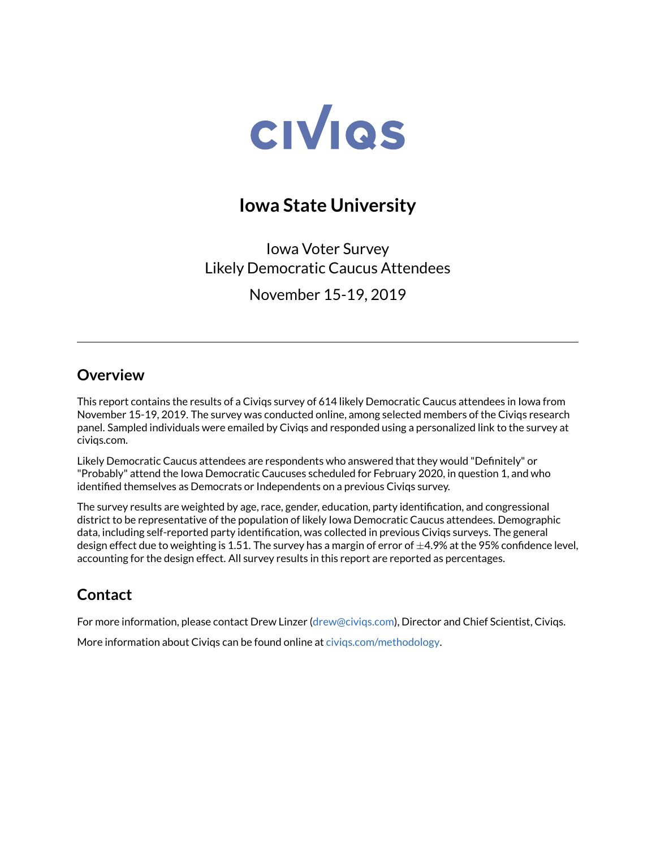

# **Iowa State University**

Iowa Voter Survey Likely Democratic Caucus Attendees

November 15-19, 2019

#### **Overview**

This report contains the results of a Civiqs survey of 614 likely Democratic Caucus attendees in Iowa from November 15-19, 2019. The survey was conducted online, among selected members of the Civiqs research panel. Sampled individuals were emailed by Civiqs and responded using a personalized link to the survey at civiqs.com.

Likely Democratic Caucus attendees are respondents who answered that they would "Definitely" or "Probably" attend the Iowa Democratic Caucuses scheduled for February 2020, in question 1, and who identified themselves as Democrats or Independents on a previous Civiqs survey.

The survey results are weighted by age, race, gender, education, party identification, and congressional district to be representative of the population of likely Iowa Democratic Caucus attendees. Demographic data, including self-reported party identification, was collected in previous Civiqs surveys. The general design effect due to weighting is 1.51. The survey has a margin of error of  $\pm$ 4.9% at the 95% confidence level, accounting for the design effect. All survey results in this report are reported as percentages.

### **Contact**

For more information, please contact Drew Linzer [\(drew@civiqs.com\)](mailto:drew@civiqs.com), Director and Chief Scientist, Civiqs.

More information about Civiqs can be found online at [civiqs.com/methodology.](https://civiqs.com/methodology)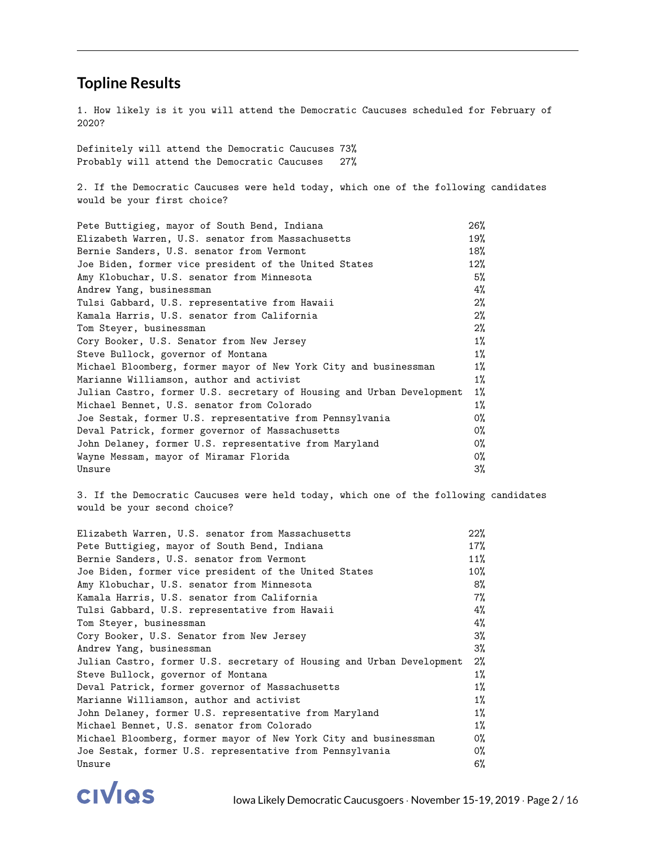#### **Topline Results**

1. How likely is it you will attend the Democratic Caucuses scheduled for February of 2020?

Definitely will attend the Democratic Caucuses 73% Probably will attend the Democratic Caucuses 27%

2. If the Democratic Caucuses were held today, which one of the following candidates would be your first choice?

| Pete Buttigieg, mayor of South Bend, Indiana                          | 26%    |
|-----------------------------------------------------------------------|--------|
| Elizabeth Warren, U.S. senator from Massachusetts                     | 19%    |
| Bernie Sanders, U.S. senator from Vermont                             | 18%    |
| Joe Biden, former vice president of the United States                 | $12\%$ |
| Amy Klobuchar, U.S. senator from Minnesota                            | 5%     |
| Andrew Yang, businessman                                              | 4%     |
| Tulsi Gabbard, U.S. representative from Hawaii                        | $2\%$  |
| Kamala Harris, U.S. senator from California                           | 2%     |
| Tom Steyer, businessman                                               | $2\%$  |
| Cory Booker, U.S. Senator from New Jersey                             | $1\%$  |
| Steve Bullock, governor of Montana                                    | $1\%$  |
| Michael Bloomberg, former mayor of New York City and businessman      | $1\%$  |
| Marianne Williamson, author and activist                              | $1\%$  |
| Julian Castro, former U.S. secretary of Housing and Urban Development | $1\%$  |
| Michael Bennet, U.S. senator from Colorado                            | $1\%$  |
| Joe Sestak, former U.S. representative from Pennsylvania              | 0%     |
| Deval Patrick, former governor of Massachusetts                       | 0%     |
| John Delaney, former U.S. representative from Maryland                | 0%     |
| Wayne Messam, mayor of Miramar Florida                                | 0%     |
| Unsure                                                                | 3%     |

3. If the Democratic Caucuses were held today, which one of the following candidates would be your second choice?

| Elizabeth Warren, U.S. senator from Massachusetts                     | $22\%$ |
|-----------------------------------------------------------------------|--------|
| Pete Buttigieg, mayor of South Bend, Indiana                          | $17\%$ |
| Bernie Sanders, U.S. senator from Vermont                             | 11%    |
| Joe Biden, former vice president of the United States                 | $10\%$ |
| Amy Klobuchar, U.S. senator from Minnesota                            | 8%     |
| Kamala Harris, U.S. senator from California                           | 7%     |
| Tulsi Gabbard, U.S. representative from Hawaii                        | 4%     |
| Tom Steyer, businessman                                               | 4%     |
| Cory Booker, U.S. Senator from New Jersey                             | 3%     |
| Andrew Yang, businessman                                              | 3%     |
| Julian Castro, former U.S. secretary of Housing and Urban Development | $2\%$  |
| Steve Bullock, governor of Montana                                    | $1\%$  |
| Deval Patrick, former governor of Massachusetts                       | $1\%$  |
| Marianne Williamson, author and activist                              | $1\%$  |
| John Delaney, former U.S. representative from Maryland                | $1\%$  |
| Michael Bennet, U.S. senator from Colorado                            | $1\%$  |
| Michael Bloomberg, former mayor of New York City and businessman      | 0%     |
| Joe Sestak, former U.S. representative from Pennsylvania              | 0%     |
| Unsure                                                                | 6%     |

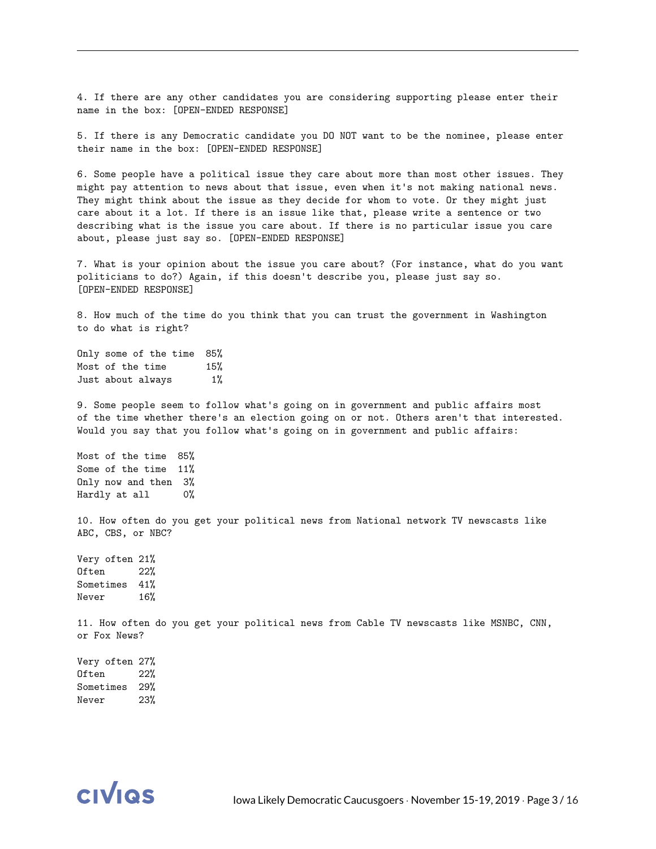4. If there are any other candidates you are considering supporting please enter their name in the box: [OPEN-ENDED RESPONSE]

5. If there is any Democratic candidate you DO NOT want to be the nominee, please enter their name in the box: [OPEN-ENDED RESPONSE]

6. Some people have a political issue they care about more than most other issues. They might pay attention to news about that issue, even when it's not making national news. They might think about the issue as they decide for whom to vote. Or they might just care about it a lot. If there is an issue like that, please write a sentence or two describing what is the issue you care about. If there is no particular issue you care about, please just say so. [OPEN-ENDED RESPONSE]

7. What is your opinion about the issue you care about? (For instance, what do you want politicians to do?) Again, if this doesn't describe you, please just say so. [OPEN-ENDED RESPONSE]

8. How much of the time do you think that you can trust the government in Washington to do what is right?

Only some of the time 85% Most of the time 15% Just about always 1%

9. Some people seem to follow what's going on in government and public affairs most of the time whether there's an election going on or not. Others aren't that interested. Would you say that you follow what's going on in government and public affairs:

Most of the time 85% Some of the time 11% Only now and then 3% Hardly at all 0%

10. How often do you get your political news from National network TV newscasts like ABC, CBS, or NBC?

Very often 21% Often 22% Sometimes 41% Never 16%

11. How often do you get your political news from Cable TV newscasts like MSNBC, CNN, or Fox News?

Very often 27% Often 22% Sometimes 29% Never 23%

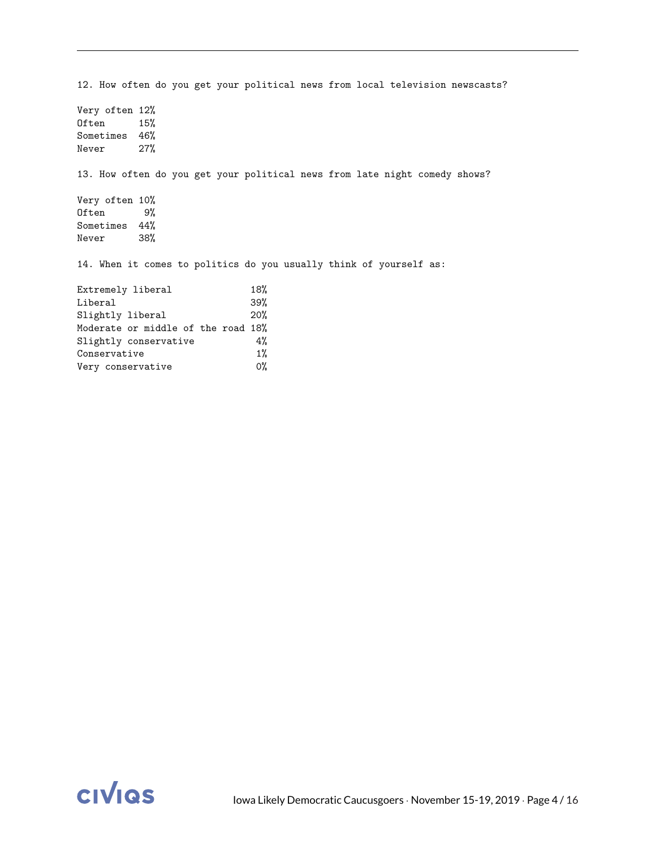12. How often do you get your political news from local television newscasts? Very often 12% Often 15% Sometimes 46% Never 27% 13. How often do you get your political news from late night comedy shows? Very often 10% Often 9% Sometimes 44% Never 38% 14. When it comes to politics do you usually think of yourself as: Extremely liberal 18% Liberal 39% Slightly liberal 20% Moderate or middle of the road 18% Slightly conservative 4% Conservative 1%<br>
Very conservative 0% Very conservative

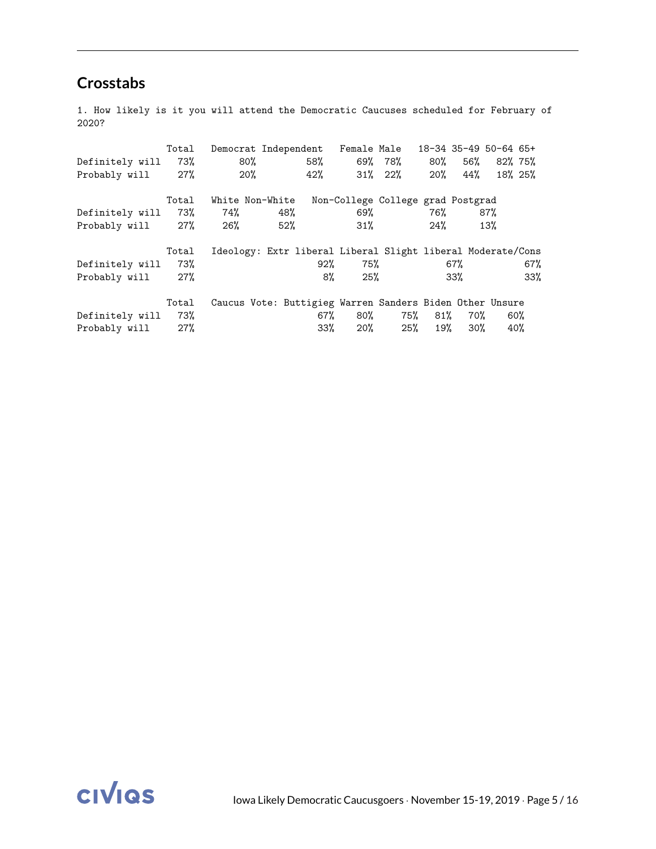### **Crosstabs**

1. How likely is it you will attend the Democratic Caucuses scheduled for February of 2020?

|                     | Total | Democrat Independent Female Male                            |     |     |     |                                   |     |     | 18-34 35-49 50-64 65+ |         |
|---------------------|-------|-------------------------------------------------------------|-----|-----|-----|-----------------------------------|-----|-----|-----------------------|---------|
| Definitely will     | 73%   | 80%                                                         |     | 58% |     | 69% 78%                           | 80% |     | 56% 82% 75%           |         |
| Probably will 27%   |       | 20%                                                         |     | 42% |     | $31\%$ 22\%                       | 20% | 44% |                       | 18% 25% |
|                     | Total | White Non-White                                             |     |     |     | Non-College College grad Postgrad |     |     |                       |         |
| Definitely will 73% |       | 74%                                                         | 48% |     | 69% |                                   | 76% |     | 87%                   |         |
| Probably will 27%   |       | 26%                                                         | 52% |     | 31% |                                   | 24% |     | 13%                   |         |
|                     | Total | Ideology: Extr liberal Liberal Slight liberal Moderate/Cons |     |     |     |                                   |     |     |                       |         |
| Definitely will     | 73%   |                                                             |     | 92% | 75% |                                   |     | 67% |                       | 67%     |
| Probably will 27%   |       |                                                             |     | 8%  | 25% |                                   |     | 33% |                       | 33%     |
|                     | Total | Caucus Vote: Buttigieg Warren Sanders Biden Other Unsure    |     |     |     |                                   |     |     |                       |         |
| Definitely will     | 73%   |                                                             |     | 67% | 80% | 75%                               | 81% | 70% |                       | 60%     |
| Probably will 27%   |       |                                                             |     | 33% | 20% | 25%                               | 19% | 30% |                       | 40%     |

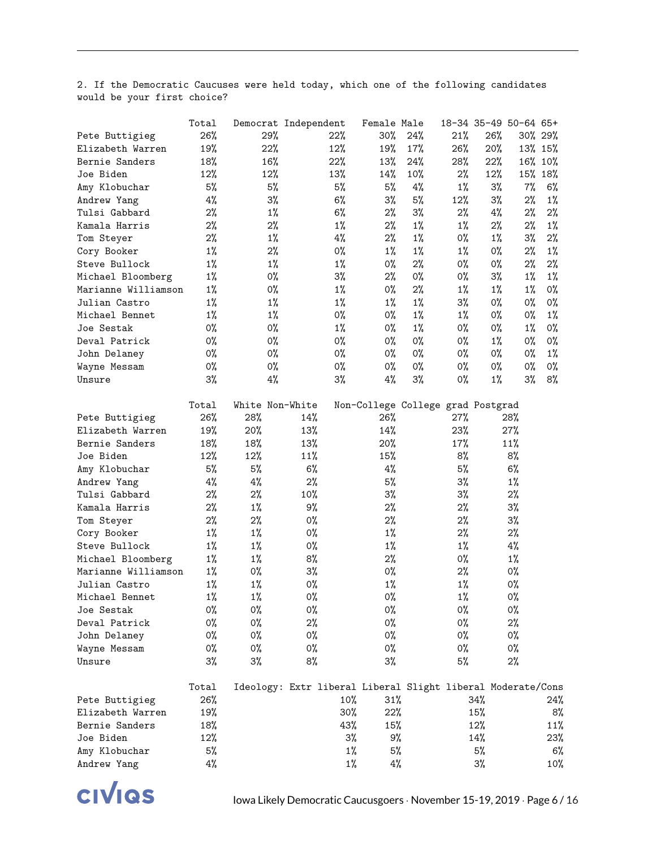|                     | Total | Democrat Independent                                        |       |       | Female Male |                                   |       | 18-34 35-49 50-64 65+ |       |         |
|---------------------|-------|-------------------------------------------------------------|-------|-------|-------------|-----------------------------------|-------|-----------------------|-------|---------|
| Pete Buttigieg      | 26%   | 29%                                                         |       | 22%   | 30%         | 24%                               | 21%   | 26%                   |       | 30% 29% |
| Elizabeth Warren    | 19%   | 22%                                                         |       | 12%   | 19%         | 17%                               | 26%   | 20%                   |       | 13% 15% |
| Bernie Sanders      | 18%   | 16%                                                         |       | 22%   | 13%         | 24%                               | 28%   | 22%                   | 16%   | $10\%$  |
| Joe Biden           | 12%   | 12%                                                         |       | 13%   | 14%         | 10%                               | 2%    | 12%                   | 15%   | 18%     |
| Amy Klobuchar       | 5%    | 5%                                                          |       | 5%    | 5%          | $4\%$                             | $1\%$ | 3%                    | 7%    | 6%      |
| Andrew Yang         | 4%    | 3%                                                          |       | 6%    | 3%          | 5%                                | 12%   | 3%                    | 2%    | 1%      |
| Tulsi Gabbard       | 2%    | $1\%$                                                       |       | 6%    | 2%          | 3%                                | 2%    | $4\%$                 | 2%    | 2%      |
| Kamala Harris       | 2%    | 2%                                                          |       | $1\%$ | 2%          | $1\%$                             | $1\%$ | $2\%$                 | 2%    | $1\%$   |
| Tom Steyer          | 2%    | $1\%$                                                       |       | 4%    | 2%          | $1\%$                             | 0%    | $1\%$                 | 3%    | 2%      |
| Cory Booker         | $1\%$ | 2%                                                          |       | 0%    | $1\%$       | $1\%$                             | $1\%$ | 0%                    | 2%    | $1\%$   |
| Steve Bullock       | $1\%$ | $1\%$                                                       |       | $1\%$ | 0%          | 2%                                | 0%    | 0%                    | 2%    | 2%      |
| Michael Bloomberg   | $1\%$ | 0%                                                          |       | 3%    | 2%          | 0%                                | 0%    | 3%                    | $1\%$ | $1\%$   |
| Marianne Williamson | $1\%$ | 0%                                                          |       | $1\%$ | 0%          | 2%                                | $1\%$ | $1\%$                 | $1\%$ | 0%      |
| Julian Castro       | $1\%$ | $1\%$                                                       |       | $1\%$ | $1\%$       | $1\%$                             | 3%    | 0%                    | 0%    | 0%      |
| Michael Bennet      | $1\%$ | $1\%$                                                       |       | 0%    | 0%          | $1\%$                             | $1\%$ | 0%                    | 0%    | $1\%$   |
| Joe Sestak          | 0%    | 0%                                                          |       | $1\%$ | 0%          | $1\%$                             | 0%    | 0%                    | $1\%$ | 0%      |
| Deval Patrick       | 0%    | 0%                                                          |       | 0%    | 0%          | 0%                                | 0%    | $1\%$                 | 0%    | 0%      |
| John Delaney        | $0\%$ | 0%                                                          |       | 0%    | 0%          | 0%                                | 0%    | 0%                    | 0%    | $1\%$   |
| Wayne Messam        | 0%    | 0%                                                          |       | 0%    | 0%          | 0%                                | 0%    | 0%                    | 0%    | 0%      |
| Unsure              | 3%    | 4%                                                          |       | 3%    | $4\%$       | 3%                                | 0%    | $1\%$                 | 3%    | 8%      |
|                     |       |                                                             |       |       |             |                                   |       |                       |       |         |
|                     | Total | White Non-White                                             |       |       |             | Non-College College grad Postgrad |       |                       |       |         |
| Pete Buttigieg      | 26%   | 28%                                                         | 14%   |       | 26%         |                                   | 27%   |                       | 28%   |         |
| Elizabeth Warren    | 19%   | 20%                                                         | 13%   |       | 14%         |                                   | 23%   |                       | 27%   |         |
| Bernie Sanders      | 18%   | 18%                                                         | 13%   |       | 20%         |                                   | 17%   |                       | 11%   |         |
| Joe Biden           | 12%   | 12%                                                         | 11%   |       | 15%         |                                   | 8%    |                       | 8%    |         |
| Amy Klobuchar       | 5%    | 5%                                                          | 6%    |       | 4%          |                                   | 5%    |                       | 6%    |         |
| Andrew Yang         | 4%    | $4\%$                                                       | 2%    |       | 5%          |                                   | $3\%$ |                       | $1\%$ |         |
| Tulsi Gabbard       | 2%    | $2\%$                                                       | 10%   |       | $3\%$       |                                   | $3\%$ |                       | $2\%$ |         |
| Kamala Harris       | 2%    | $1\%$                                                       | 9%    |       | $2\%$       |                                   | 2%    |                       | 3%    |         |
| Tom Steyer          | 2%    | $2\%$                                                       | 0%    |       | $2\%$       |                                   | 2%    |                       | 3%    |         |
| Cory Booker         | $1\%$ | $1\%$                                                       | 0%    |       | $1\%$       |                                   | 2%    |                       | $2\%$ |         |
| Steve Bullock       | $1\%$ | $1\%$                                                       | 0%    |       | $1\%$       |                                   | $1\%$ |                       | $4\%$ |         |
| Michael Bloomberg   | $1\%$ | $1\%$                                                       | 8%    |       | $2\%$       |                                   | 0%    |                       | $1\%$ |         |
| Marianne Williamson | $1\%$ | 0%                                                          | $3\%$ |       | 0%          |                                   | $2\%$ |                       | 0%    |         |
| Julian Castro       | $1\%$ | $1\%$                                                       | 0%    |       | $1\%$       |                                   | $1\%$ |                       | 0%    |         |
| Michael Bennet      | $1\%$ | $1\%$                                                       | 0%    |       | 0%          |                                   | $1\%$ |                       | 0%    |         |
| Joe Sestak          | 0%    | 0%                                                          | 0%    |       | 0%          |                                   | 0%    |                       | 0%    |         |
| Deval Patrick       | 0%    | 0%                                                          | $2\%$ |       | 0%          |                                   | 0%    |                       | $2\%$ |         |
| John Delaney        | 0%    | 0%                                                          | 0%    |       | 0%          |                                   | 0%    |                       | 0%    |         |
| Wayne Messam        | 0%    | 0%                                                          | 0%    |       | 0%          |                                   | 0%    |                       | 0%    |         |
| Unsure              | $3\%$ | $3\%$                                                       | 8%    |       | $3\%$       |                                   | 5%    |                       | $2\%$ |         |
|                     |       |                                                             |       |       |             |                                   |       |                       |       |         |
|                     | Total | Ideology: Extr liberal Liberal Slight liberal Moderate/Cons |       |       |             |                                   |       |                       |       |         |
| Pete Buttigieg      | 26%   |                                                             |       | 10%   | 31%         |                                   |       | 34%                   |       | 24%     |
| Elizabeth Warren    | 19%   |                                                             |       | 30%   | 22%         |                                   |       | 15%                   |       | 8%      |
| Bernie Sanders      | 18%   |                                                             |       | 43%   | 15%         |                                   |       | 12%                   |       | 11%     |
| Joe Biden           | 12%   |                                                             |       | $3\%$ | 9%          |                                   |       | 14%                   |       | 23%     |
| Amy Klobuchar       | 5%    |                                                             |       | $1\%$ | 5%          |                                   |       | 5%                    |       | 6%      |
| Andrew Yang         | 4%    |                                                             |       | $1\%$ | $4\%$       |                                   |       | 3%                    |       | 10%     |
|                     |       |                                                             |       |       |             |                                   |       |                       |       |         |

2. If the Democratic Caucuses were held today, which one of the following candidates would be your first choice?

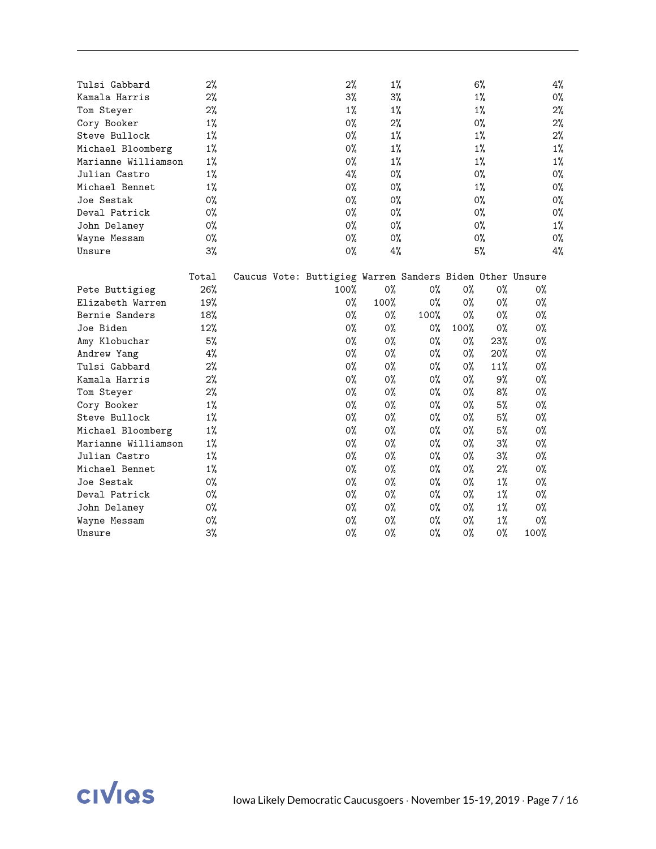| Tulsi Gabbard<br>Kamala Harris<br>Tom Steyer<br>Cory Booker<br>Steve Bullock<br>Michael Bloomberg | 2%<br>2%<br>2%<br>$1\%$<br>1%<br>1%<br>1%<br>1%<br>1% |  | 2%<br>$3\%$<br>$1\%$<br>0%<br>0%<br>$0\%$                | 1%<br>3%<br>$1\%$<br>2%<br>$1\%$ |                |      | 6%<br>1%<br>$1\%$<br>0%<br>$1\%$ |       | 4%<br>0%<br>2%<br>2% |
|---------------------------------------------------------------------------------------------------|-------------------------------------------------------|--|----------------------------------------------------------|----------------------------------|----------------|------|----------------------------------|-------|----------------------|
|                                                                                                   |                                                       |  |                                                          |                                  |                |      |                                  |       |                      |
|                                                                                                   |                                                       |  |                                                          |                                  |                |      |                                  |       |                      |
|                                                                                                   |                                                       |  |                                                          |                                  |                |      |                                  |       |                      |
|                                                                                                   |                                                       |  |                                                          |                                  |                |      |                                  |       |                      |
|                                                                                                   |                                                       |  |                                                          |                                  |                |      |                                  |       | 2%                   |
|                                                                                                   |                                                       |  |                                                          | 1%                               |                |      | 1%                               |       | $1\%$                |
| Marianne Williamson                                                                               |                                                       |  | 0%                                                       | $1\%$                            |                |      | $1\%$                            |       | $1\%$                |
| Julian Castro                                                                                     |                                                       |  | 4%                                                       | 0%                               |                |      | $0\%$                            |       | 0%                   |
| Michael Bennet                                                                                    |                                                       |  | 0%                                                       | 0%                               |                |      | $1\%$                            |       | 0%                   |
| Joe Sestak                                                                                        | 0%                                                    |  | 0%                                                       | 0%                               |                |      | 0%                               |       | 0%                   |
| Deval Patrick                                                                                     | 0%                                                    |  | 0%                                                       | 0%                               |                |      | 0%                               |       | 0%                   |
| John Delaney                                                                                      | 0%                                                    |  | 0%                                                       | 0%                               |                |      | $0\%$                            |       | $1\%$                |
| Wayne Messam                                                                                      | 0%                                                    |  | 0%                                                       | 0%                               |                |      | 0%                               |       | 0%                   |
| Unsure                                                                                            | $3\%$                                                 |  | 0%                                                       | 4%                               |                |      | 5%                               |       | 4%                   |
|                                                                                                   |                                                       |  |                                                          |                                  |                |      |                                  |       |                      |
|                                                                                                   | Total                                                 |  | Caucus Vote: Buttigieg Warren Sanders Biden Other Unsure |                                  |                |      |                                  |       |                      |
| Pete Buttigieg                                                                                    | 26%                                                   |  | 100%                                                     | 0%                               | 0%             | 0%   | 0%                               | $0\%$ |                      |
| Elizabeth Warren                                                                                  | 19%                                                   |  | 0%                                                       | 100%                             | 0%             | 0%   | 0%                               | 0%    |                      |
| Bernie Sanders                                                                                    | 18%                                                   |  | 0%                                                       | 0%                               | 100%           | 0%   | $0\%$                            | $0\%$ |                      |
| Joe Biden                                                                                         | 12%                                                   |  | 0%                                                       | 0%                               | $0\%$          | 100% | $0\%$                            | $0\%$ |                      |
| Amy Klobuchar                                                                                     | 5%                                                    |  | 0%                                                       | 0%                               | $0\%$          | 0%   | 23%                              | $0\%$ |                      |
| Andrew Yang                                                                                       | 4%                                                    |  | 0%                                                       | 0%                               | $0\%$          | 0%   | $20\%$                           | $0\%$ |                      |
| Tulsi Gabbard                                                                                     | 2%                                                    |  | 0%                                                       | 0%                               | 0%             | 0%   | 11%                              | 0%    |                      |
| Kamala Harris                                                                                     | 2%                                                    |  | 0%                                                       | $0\%$                            | $0\%$          | 0%   | 9%                               | $0\%$ |                      |
| Tom Steyer                                                                                        | 2%                                                    |  | 0%                                                       | 0%                               | $0\%$          | 0%   | 8%                               | $0\%$ |                      |
| Cory Booker                                                                                       | 1%                                                    |  | 0%                                                       | 0%                               | $0\%$          | 0%   | 5%                               | $0\%$ |                      |
| Steve Bullock                                                                                     | $1\%$                                                 |  | 0%                                                       | 0%                               | $0\%$          | 0%   | 5%                               | $0\%$ |                      |
| Michael Bloomberg                                                                                 | $1\%$                                                 |  | 0%                                                       | 0%                               | 0%             | 0%   | 5%                               | 0%    |                      |
| Marianne Williamson                                                                               | 1%                                                    |  | 0%                                                       | 0%                               | O <sub>0</sub> | 0%   | $3\%$                            | 0%    |                      |
| Julian Castro                                                                                     | 1%                                                    |  | 0%                                                       | 0%                               | $0\%$          | 0%   | $3\%$                            | 0%    |                      |
| Michael Bennet                                                                                    | 1%                                                    |  | 0%                                                       | 0%                               | $0\%$          | 0%   | 2%                               | 0%    |                      |
| Joe Sestak                                                                                        | $0\%$                                                 |  | 0%                                                       | 0%                               | 0%             | 0%   | $1\%$                            | 0%    |                      |
| Deval Patrick                                                                                     | $0\%$                                                 |  | 0%                                                       | 0%                               | $0\%$          | 0%   | $1\%$                            | 0%    |                      |
| John Delaney                                                                                      | $0\%$                                                 |  | 0%                                                       | 0%                               | 0%             | 0%   | $1\%$                            | 0%    |                      |
| Wayne Messam                                                                                      | 0%                                                    |  | 0%                                                       | 0%                               | 0%             | 0%   | $1\%$                            | 0%    |                      |
| Unsure                                                                                            | $3\%$                                                 |  | 0%                                                       | 0%                               | 0%             | 0%   | 0%                               | 100%  |                      |

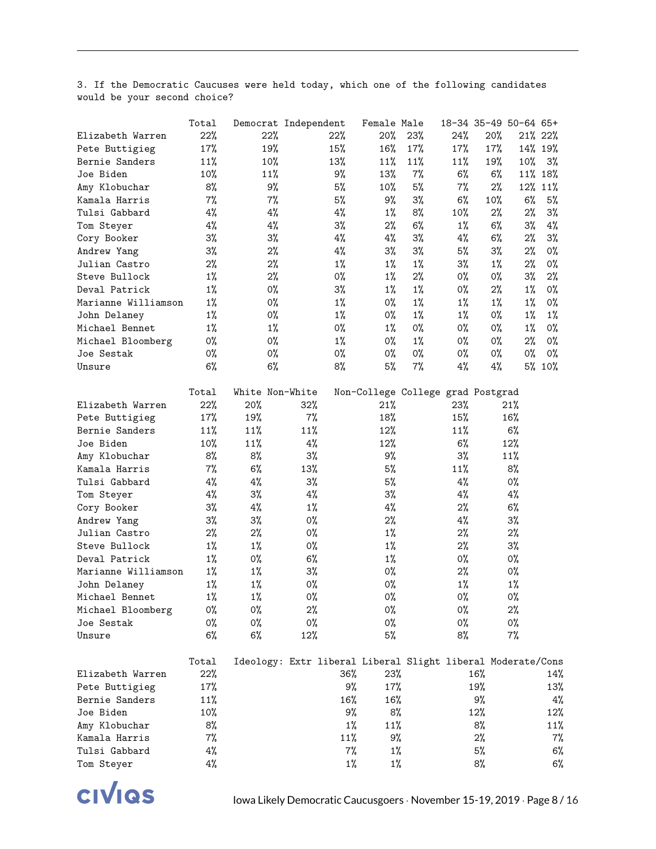3. If the Democratic Caucuses were held today, which one of the following candidates would be your second choice?

|                     | Total | Democrat Independent |                                                             |       | Female Male |                                   |       | 18-34 35-49 50-64 65+ |       |         |
|---------------------|-------|----------------------|-------------------------------------------------------------|-------|-------------|-----------------------------------|-------|-----------------------|-------|---------|
| Elizabeth Warren    | 22%   | 22%                  |                                                             | 22%   | 20%         | 23%                               | 24%   | 20%                   |       | 21% 22% |
| Pete Buttigieg      | 17%   | 19%                  |                                                             | 15%   | 16%         | 17%                               | 17%   | 17%                   |       | 14% 19% |
| Bernie Sanders      | 11%   | 10%                  |                                                             | 13%   | 11%         | 11%                               | 11%   | 19%                   | 10%   | 3%      |
| Joe Biden           | 10%   | 11%                  |                                                             | 9%    | 13%         | $7\%$                             | 6%    | $6\%$                 |       | 11% 18% |
| Amy Klobuchar       | 8%    | 9%                   |                                                             | 5%    | $10\%$      | 5%                                | $7\%$ | $2\%$                 |       | 12% 11% |
| Kamala Harris       | $7\%$ | $7\%$                |                                                             | 5%    | 9%          | $3\%$                             | $6\%$ | 10%                   | 6%    | 5%      |
| Tulsi Gabbard       | $4\%$ | $4\%$                |                                                             | $4\%$ | $1\%$       | 8%                                | 10%   | 2%                    | 2%    | 3%      |
| Tom Steyer          | $4\%$ | $4\%$                |                                                             | $3\%$ | $2\%$       | 6%                                | $1\%$ | 6%                    | $3\%$ | 4%      |
| Cory Booker         | $3\%$ | $3\%$                |                                                             | $4\%$ | 4%          | $3\%$                             | $4\%$ | 6%                    | $2\%$ | 3%      |
| Andrew Yang         | $3\%$ | 2%                   |                                                             | $4\%$ | $3\%$       | $3\%$                             | 5%    | 3%                    | 2%    | 0%      |
| Julian Castro       | 2%    | 2%                   |                                                             | $1\%$ | $1\%$       | $1\%$                             | $3\%$ | $1\%$                 | 2%    | 0%      |
| Steve Bullock       | $1\%$ | 2%                   |                                                             | 0%    | $1\%$       | 2%                                | 0%    | 0%                    | $3\%$ | 2%      |
| Deval Patrick       | $1\%$ | 0%                   |                                                             | $3\%$ | $1\%$       | $1\%$                             | 0%    | 2%                    | $1\%$ | 0%      |
| Marianne Williamson | $1\%$ | 0%                   |                                                             | $1\%$ | 0%          | $1\%$                             | $1\%$ | $1\%$                 | $1\%$ | 0%      |
| John Delaney        | $1\%$ | 0%                   |                                                             | $1\%$ | 0%          | $1\%$                             | $1\%$ | 0%                    | $1\%$ | $1\%$   |
| Michael Bennet      | $1\%$ | $1\%$                |                                                             | 0%    | $1\%$       | 0%                                | 0%    | 0%                    | $1\%$ | 0%      |
| Michael Bloomberg   | 0%    | 0%                   |                                                             | $1\%$ | 0%          | $1\%$                             | 0%    | 0%                    | $2\%$ | 0%      |
| Joe Sestak          | 0%    | 0%                   |                                                             | 0%    | 0%          | 0%                                | 0%    | 0%                    | 0%    | 0%      |
| Unsure              | 6%    | 6%                   |                                                             | 8%    | 5%          | $7\%$                             | $4\%$ | 4%                    |       | 5% 10%  |
|                     |       |                      |                                                             |       |             |                                   |       |                       |       |         |
|                     | Total | White Non-White      |                                                             |       |             | Non-College College grad Postgrad |       |                       |       |         |
| Elizabeth Warren    | 22%   | 20%                  | 32%                                                         |       | 21%         |                                   | 23%   |                       | 21%   |         |
| Pete Buttigieg      | 17%   | 19%                  | 7%                                                          |       | 18%         |                                   | 15%   |                       | 16%   |         |
| Bernie Sanders      | 11%   | 11%                  | 11%                                                         |       | 12%         |                                   | 11%   |                       | 6%    |         |
| Joe Biden           | 10%   | 11%                  | 4%                                                          |       | 12%         |                                   | 6%    |                       | 12%   |         |
| Amy Klobuchar       | 8%    | 8%                   | 3%                                                          |       | 9%          |                                   | 3%    |                       | 11%   |         |
| Kamala Harris       | 7%    | 6%                   | 13%                                                         |       | 5%          |                                   | 11%   |                       | 8%    |         |
| Tulsi Gabbard       | 4%    | 4%                   | 3%                                                          |       | 5%          |                                   | $4\%$ |                       | 0%    |         |
| Tom Steyer          | 4%    | 3%                   | 4%                                                          |       | $3\%$       |                                   | $4\%$ |                       | $4\%$ |         |
| Cory Booker         | 3%    | 4%                   | $1\%$                                                       |       | 4%          |                                   | 2%    |                       | 6%    |         |
| Andrew Yang         | 3%    | 3%                   | 0%                                                          |       | 2%          |                                   | 4%    |                       | 3%    |         |
| Julian Castro       | 2%    | 2%                   | 0%                                                          |       | $1\%$       |                                   | 2%    |                       | $2\%$ |         |
| Steve Bullock       | $1\%$ | $1\%$                | 0%                                                          |       | $1\%$       |                                   | 2%    |                       | $3\%$ |         |
| Deval Patrick       | $1\%$ | 0%                   | 6%                                                          |       | $1\%$       |                                   | 0%    |                       | 0%    |         |
| Marianne Williamson | $1\%$ | $1\%$                | 3%                                                          |       | 0%          |                                   | 2%    |                       | 0%    |         |
| John Delaney        | $1\%$ | $1\%$                | 0%                                                          |       | 0%          |                                   | $1\%$ |                       | $1\%$ |         |
| Michael Bennet      | $1\%$ | $1\%$                | 0%                                                          |       | 0%          |                                   | 0%    |                       | 0%    |         |
| Michael Bloomberg   | 0%    | 0%                   | 2%                                                          |       | 0%          |                                   | 0%    |                       | $2\%$ |         |
| Joe Sestak          | 0%    | 0%                   | 0%                                                          |       | 0%          |                                   | 0%    |                       | 0%    |         |
| Unsure              | $6\%$ | 6%                   | 12%                                                         |       | 5%          |                                   | 8%    |                       | 7%    |         |
|                     |       |                      |                                                             |       |             |                                   |       |                       |       |         |
|                     | Total |                      | Ideology: Extr liberal Liberal Slight liberal Moderate/Cons |       |             |                                   |       |                       |       |         |
| Elizabeth Warren    | 22%   |                      |                                                             | 36%   | 23%         |                                   |       | 16%                   |       | 14%     |
| Pete Buttigieg      | 17%   |                      |                                                             | 9%    | 17%         |                                   |       | 19%                   |       | 13%     |
| Bernie Sanders      | 11%   |                      |                                                             | 16%   | 16%         |                                   |       | 9%                    |       | 4%      |
| Joe Biden           | 10%   |                      |                                                             | 9%    | 8%          |                                   |       | 12%                   |       | 12%     |
| Amy Klobuchar       | 8%    |                      |                                                             | $1\%$ | 11%         |                                   |       | 8%                    |       | 11%     |
| Kamala Harris       | 7%    |                      |                                                             | 11%   | 9%          |                                   |       | 2%                    |       | $7\%$   |
| Tulsi Gabbard       | 4%    |                      |                                                             | 7%    | 1%          |                                   |       | 5%                    |       | 6%      |
| Tom Steyer          | 4%    |                      |                                                             | $1\%$ | $1\%$       |                                   |       | 8%                    |       | 6%      |
|                     |       |                      |                                                             |       |             |                                   |       |                       |       |         |

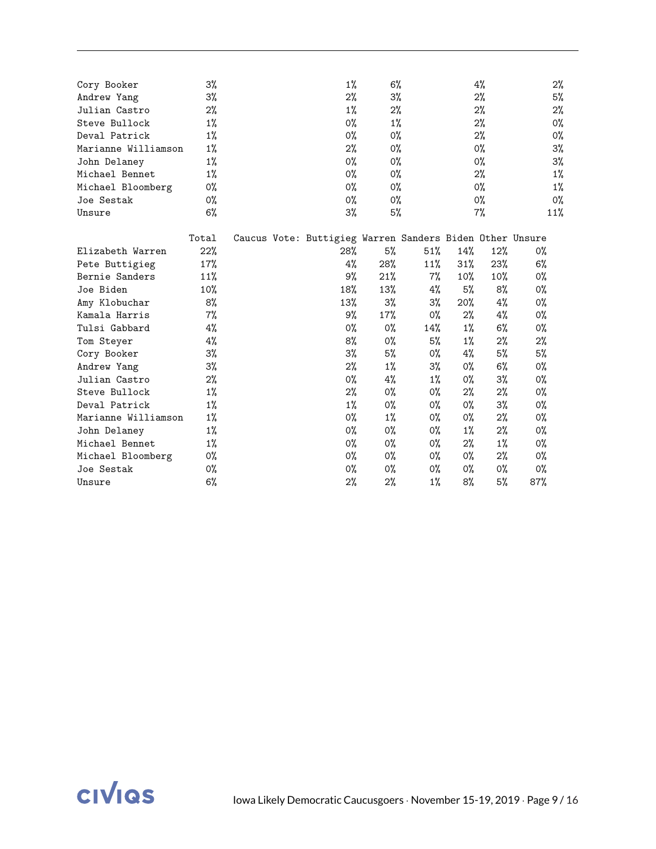| Cory Booker         | $3\%$ |  | $1\%$                                                    | 6%    |       |       | 4%    |       | 2%    |
|---------------------|-------|--|----------------------------------------------------------|-------|-------|-------|-------|-------|-------|
| Andrew Yang         | 3%    |  | $2\%$                                                    | 3%    |       |       | 2%    |       | 5%    |
| Julian Castro       | 2%    |  | $1\%$                                                    | 2%    |       |       | 2%    |       | 2%    |
| Steve Bullock       | 1%    |  | 0%                                                       | $1\%$ |       |       | 2%    |       | 0%    |
| Deval Patrick       | 1%    |  | 0%                                                       | 0%    |       |       | $2\%$ |       | 0%    |
| Marianne Williamson | $1\%$ |  | $2\%$                                                    | $0\%$ |       |       | $0\%$ |       | 3%    |
| John Delaney        | 1%    |  | 0%                                                       | $0\%$ |       |       | $0\%$ |       | 3%    |
| Michael Bennet      | 1%    |  | 0%                                                       | 0%    |       |       | $2\%$ |       | $1\%$ |
| Michael Bloomberg   | 0%    |  | 0%                                                       | $0\%$ |       |       | $0\%$ |       | $1\%$ |
| Joe Sestak          | 0%    |  | 0%                                                       | $0\%$ |       |       | 0%    |       | 0%    |
| Unsure              | 6%    |  | 3%                                                       | 5%    |       |       | $7\%$ |       | 11%   |
|                     | Total |  | Caucus Vote: Buttigieg Warren Sanders Biden Other Unsure |       |       |       |       |       |       |
| Elizabeth Warren    | 22%   |  | 28%                                                      | 5%    | 51%   | 14%   | 12%   | 0%    |       |
| Pete Buttigieg      | 17%   |  | 4%                                                       | 28%   | 11%   | 31%   | 23%   | 6%    |       |
| Bernie Sanders      | 11%   |  | 9%                                                       | 21%   | $7\%$ | 10%   | 10%   | 0%    |       |
| Joe Biden           | 10%   |  | 18%                                                      | 13%   | 4%    | 5%    | 8%    | 0%    |       |
| Amy Klobuchar       | 8%    |  | 13%                                                      | $3\%$ | $3\%$ | 20%   | $4\%$ | 0%    |       |
| Kamala Harris       | $7\%$ |  | 9%                                                       | 17%   | $0\%$ | 2%    | 4%    | 0%    |       |
| Tulsi Gabbard       | 4%    |  | 0%                                                       | 0%    | 14%   | $1\%$ | 6%    | 0%    |       |
| Tom Steyer          | 4%    |  | 8%                                                       | $0\%$ | 5%    | $1\%$ | $2\%$ | $2\%$ |       |
| Cory Booker         | 3%    |  | $3\%$                                                    | 5%    | $0\%$ | 4%    | 5%    | 5%    |       |
| Andrew Yang         | 3%    |  | $2\%$                                                    | $1\%$ | $3\%$ | 0%    | 6%    | 0%    |       |
| Julian Castro       | $2\%$ |  | 0%                                                       | 4%    | $1\%$ | 0%    | 3%    | $0\%$ |       |
| Steve Bullock       | 1%    |  | 2%                                                       | 0%    | $0\%$ | $2\%$ | 2%    | $0\%$ |       |
| Deval Patrick       | 1%    |  | $1\%$                                                    | $0\%$ | $0\%$ | 0%    | $3\%$ | $0\%$ |       |
| Marianne Williamson | $1\%$ |  | 0%                                                       | $1\%$ | 0%    | 0%    | $2\%$ | $0\%$ |       |
| John Delaney        | $1\%$ |  | 0%                                                       | 0%    | 0%    | $1\%$ | $2\%$ | 0%    |       |
| Michael Bennet      | 1%    |  | 0%                                                       | $0\%$ | 0%    | 2%    | $1\%$ | 0%    |       |
| Michael Bloomberg   | 0%    |  | 0%                                                       | 0%    | 0%    | 0%    | $2\%$ | 0%    |       |
| Joe Sestak          | 0%    |  | 0%                                                       | 0%    | 0%    | 0%    | 0%    | 0%    |       |
| Unsure              | 6%    |  | $2\%$                                                    | 2%    | $1\%$ | 8%    | 5%    | 87%   |       |
|                     |       |  |                                                          |       |       |       |       |       |       |

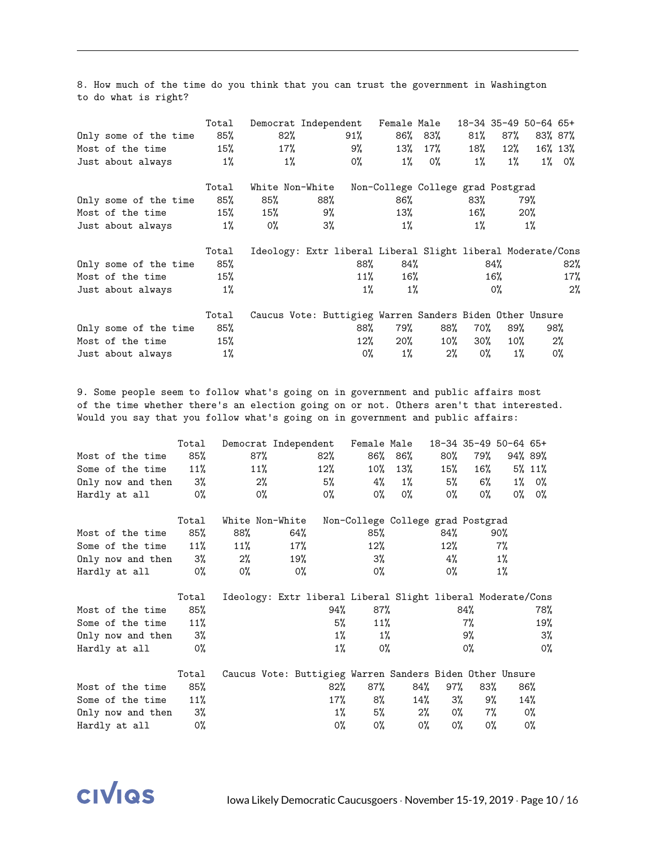8. How much of the time do you think that you can trust the government in Washington to do what is right?

|                       | Total  | Democrat Independent                                        |       |        | Female Male |                                   |        | 18-34 35-49 50-64 65+ |         |                 |
|-----------------------|--------|-------------------------------------------------------------|-------|--------|-------------|-----------------------------------|--------|-----------------------|---------|-----------------|
| Only some of the time | 85%    | 82%                                                         |       | $91\%$ |             | 86% 83%                           | $81\%$ | 87%                   |         | 83% 87%         |
| Most of the time      | $15\%$ | 17%                                                         |       | 9%     | 13%         | 17%                               | 18%    | $12\%$                | 16% 13% |                 |
| Just about always     | $1\%$  | $1\%$                                                       |       | 0%     | $1\%$       | 0%                                | $1\%$  | $1\%$                 |         | $1\% \quad 0\%$ |
|                       | Total  | White Non-White                                             |       |        |             | Non-College College grad Postgrad |        |                       |         |                 |
| Only some of the time | 85%    | 85%                                                         | 88%   |        | 86%         |                                   | 83%    |                       | 79%     |                 |
| Most of the time      | $15\%$ | 15%                                                         | 9%    |        | 13%         |                                   | 16%    |                       | $20\%$  |                 |
| Just about always     | $1\%$  | 0%                                                          | $3\%$ |        | $1\%$       |                                   | $1\%$  |                       | $1\%$   |                 |
|                       | Total  | Ideology: Extr liberal Liberal Slight liberal Moderate/Cons |       |        |             |                                   |        |                       |         |                 |
| Only some of the time | 85%    |                                                             |       | 88%    | 84%         |                                   |        | 84%                   |         | 82%             |
| Most of the time      | 15%    |                                                             |       | 11%    | $16\%$      |                                   |        | 16%                   |         | 17%             |
| Just about always     | $1\%$  |                                                             |       | $1\%$  | $1\%$       |                                   |        | 0%                    |         | 2%              |
|                       | Total  | Caucus Vote: Buttigieg Warren Sanders Biden Other Unsure    |       |        |             |                                   |        |                       |         |                 |
| Only some of the time | 85%    |                                                             |       | 88%    | 79%         | 88%                               | 70%    | 89%                   |         | 98%             |
|                       |        |                                                             |       |        |             |                                   |        |                       |         |                 |
| Most of the time      | 15%    |                                                             |       | 12%    | 20%         | $10\%$                            | 30%    | $10\%$                |         | 2%              |

9. Some people seem to follow what's going on in government and public affairs most of the time whether there's an election going on or not. Others aren't that interested. Would you say that you follow what's going on in government and public affairs:

|                      | Total                   |                 |        | Democrat Independent Female Male                            |       |                                   |        | 18-34 35-49 50-64 65+ |       |         |
|----------------------|-------------------------|-----------------|--------|-------------------------------------------------------------|-------|-----------------------------------|--------|-----------------------|-------|---------|
| Most of the time     | 85%                     | 87%             |        | 82%                                                         |       | 86% 86%                           | 80%    | 79%                   |       | 94% 89% |
| Some of the time     | 11%                     | 11%             |        | 12%                                                         | 10%   | 13%                               | $15\%$ | 16%                   |       | 5% 11%  |
| Only now and then 3% |                         | $2\%$           |        | 5%                                                          | 4%    | $1\%$                             | 5%     | 6%                    |       | 1% 0%   |
| Hardly at all        | O <sub>0</sub>          | 0%              |        | 0%                                                          | 0%    | 0%                                | $0\%$  | 0%                    |       | 0% 0%   |
|                      | Total                   | White Non-White |        |                                                             |       | Non-College College grad Postgrad |        |                       |       |         |
| Most of the time     | 85%                     | 88%             | 64%    |                                                             | 85%   |                                   | 84%    |                       | 90%   |         |
| Some of the time     | 11%                     | 11%             | $17\%$ |                                                             | 12%   |                                   | 12%    |                       | $7\%$ |         |
| Only now and then 3% |                         | $2\%$           | 19%    |                                                             | $3\%$ |                                   | 4%     |                       | $1\%$ |         |
| Hardly at all        | $\mathsf{O}\mathcal{C}$ | 0%              | 0%     |                                                             | 0%    |                                   | 0%     |                       | $1\%$ |         |
|                      | Total                   |                 |        | Ideology: Extr liberal Liberal Slight liberal Moderate/Cons |       |                                   |        |                       |       |         |
| Most of the time     | 85%                     |                 |        | 94%                                                         | 87%   |                                   |        | 84%                   |       | 78%     |
| Some of the time     | 11%                     |                 |        |                                                             | 5%    | 11%                               |        | 7%                    |       | 19%     |
| Only now and then    | 3%                      |                 |        | $1\%$                                                       |       | $1\%$                             |        | 9%                    |       | 3%      |
| Hardly at all        | 0%                      |                 |        | $1\%$                                                       | 0%    |                                   |        | 0%                    |       | $0\%$   |
|                      | Total                   |                 |        | Caucus Vote: Buttigieg Warren Sanders Biden Other Unsure    |       |                                   |        |                       |       |         |
| Most of the time     | 85%                     |                 |        | 82%                                                         | 87%   | 84%                               | 97%    | 83%                   |       | 86%     |
| Some of the time     | 11%                     |                 |        | $17\%$                                                      | 8%    | 14%                               | 3%     | 9%                    |       | 14%     |
| Only now and then    |                         |                 |        |                                                             |       |                                   |        |                       |       | 0%      |
|                      | 3%                      |                 |        | $1\%$                                                       | $5\%$ | $2\%$                             | 0%     | $7\%$                 |       |         |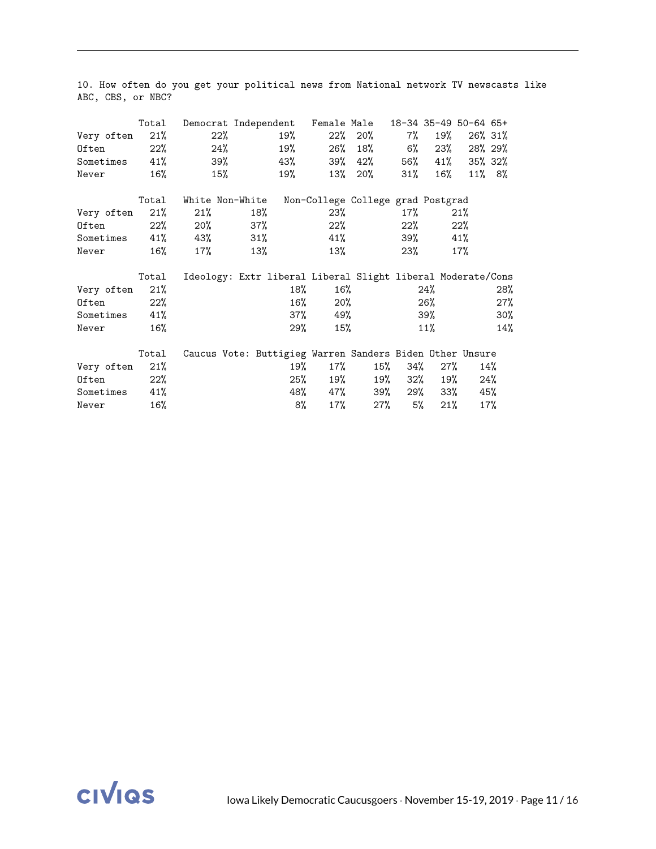|                         | Total | Democrat Independent Female Male                            |        |     |            |                                   |           |             | 18-34 35-49 50-64 65+ |           |
|-------------------------|-------|-------------------------------------------------------------|--------|-----|------------|-----------------------------------|-----------|-------------|-----------------------|-----------|
| Very often              | 21%   | 22%                                                         |        | 19% |            | 22% 20%                           | 7%        | 19%         |                       | 26% 31%   |
| Often                   | 22%   | 24%                                                         |        | 19% | 26%        | 18% 6%                            |           |             | $23\%$ 28% $29\%$     |           |
| Sometimes               | 41%   | 39%                                                         |        | 43% |            | 39% 42%                           |           |             | 56% 41% 35% 32%       |           |
| Never                   | 16%   | $15\%$                                                      |        | 19% |            | 13% 20%                           | $31\%$    | 16%         |                       | $11\%$ 8% |
|                         | Total | White Non-White                                             |        |     |            | Non-College College grad Postgrad |           |             |                       |           |
| Very often              | 21%   | 21%                                                         | 18%    |     | 23%        |                                   | 17%       |             | 21%                   |           |
| Often                   | 22%   | 20%                                                         | 37%    |     | 22%        |                                   | 22%       |             | $22\%$                |           |
| Sometimes $41\%$ $43\%$ |       |                                                             | $31\%$ |     | 41%        |                                   |           | 39%         | 41%                   |           |
| Never                   | 16%   | 17%                                                         | 13%    |     | 13%        |                                   | 23%       |             | 17%                   |           |
|                         | Total | Ideology: Extr liberal Liberal Slight liberal Moderate/Cons |        |     |            |                                   |           |             |                       |           |
| Very often              | 21%   |                                                             |        | 18% | 16%        |                                   |           | 24%         |                       | 28%       |
| Often                   | 22%   |                                                             |        |     | $16\%$     | $20\%$                            |           | 26%         |                       | 27%       |
| Sometimes               | 41%   |                                                             |        |     | 37%        | 49%                               |           | 39%         |                       | 30%       |
| Never                   | 16%   |                                                             |        |     | 29%<br>15% |                                   |           | $11\%$      |                       | 14%       |
|                         | Total | Caucus Vote: Buttigieg Warren Sanders Biden Other Unsure    |        |     |            |                                   |           |             |                       |           |
| Very often              | 21%   |                                                             |        | 19% | 17%        |                                   | 15% 34%   |             | 27%                   | 14%       |
| Often                   | 22%   |                                                             |        | 25% | 19%        |                                   |           | 19% 32% 19% |                       | 24%       |
| Sometimes               | 41%   |                                                             |        |     |            | 48% 47% 39% 29% 33%               |           |             |                       | 45%       |
| Never                   | 16%   |                                                             |        | 8%  | 17%        |                                   | 27%<br>5% | 21%         |                       | 17%       |

10. How often do you get your political news from National network TV newscasts like ABC, CBS, or NBC?

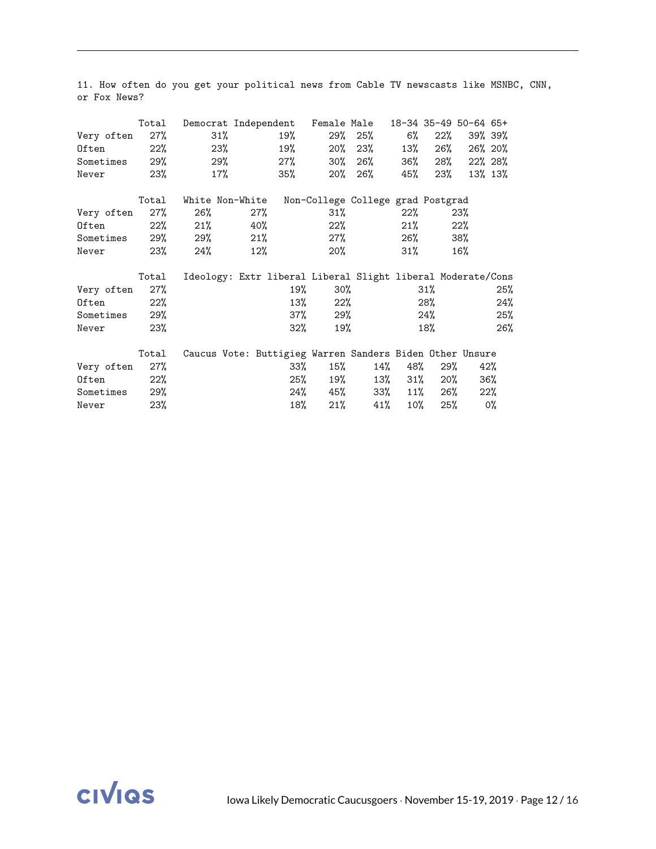|                   | Total  | Democrat Independent Female Male 18-34 35-49 50-64 65+      |     |        |        |                                   |     |             |        |         |
|-------------------|--------|-------------------------------------------------------------|-----|--------|--------|-----------------------------------|-----|-------------|--------|---------|
| Very often        | $27\%$ | $31\%$                                                      |     | 19%    |        | 29% 25% 6%                        |     | $22\%$      |        | 39% 39% |
| Often             | $22\%$ | 23%                                                         |     | 19%    |        | 20% 23%                           | 13% | 26%         |        | 26% 20% |
| Sometimes 29%     |        | 29%                                                         |     | 27%    |        | 30% 26%                           | 36% | 28%         |        | 22% 28% |
| Never             | 23%    | $17\%$                                                      |     | 35%    |        | 20% 26%                           | 45% | 23%         |        | 13% 13% |
|                   | Total  | White Non-White                                             |     |        |        | Non-College College grad Postgrad |     |             |        |         |
| Very often        | 27%    | 26%                                                         | 27% |        | 31%    |                                   | 22% |             | 23%    |         |
| Often             |        | $22\%$ 21%                                                  | 40% |        | $22\%$ |                                   | 21% |             | $22\%$ |         |
| Sometimes 29% 29% |        |                                                             | 21% |        | $27\%$ |                                   | 26% |             | 38%    |         |
| Never             | 23%    | 24%                                                         | 12% |        | 20%    |                                   | 31% |             | 16%    |         |
|                   | Total  | Ideology: Extr liberal Liberal Slight liberal Moderate/Cons |     |        |        |                                   |     |             |        |         |
| Very often        | $27\%$ |                                                             |     | 19%    |        | 30%                               |     | 31%         |        | 25%     |
| Often             | 22%    |                                                             |     |        | 13%    | $22\%$                            |     | 28%         |        | 24%     |
| Sometimes         | 29%    |                                                             |     | 37%    | 29%    |                                   |     | 24%         |        | 25%     |
| Never             | 23%    |                                                             |     | $32\%$ | 19%    |                                   |     | 18%         |        | 26%     |
|                   | Total  | Caucus Vote: Buttigieg Warren Sanders Biden Other Unsure    |     |        |        |                                   |     |             |        |         |
| Very often        | 27%    |                                                             |     | 33%    | 15%    | 14%                               | 48% |             | 29%    | 42%     |
| Often             | 22%    |                                                             |     | 25%    |        | 19%                               |     | 13% 31% 20% |        | 36%     |
| Sometimes 29%     |        |                                                             |     |        |        | 24% 45% 33% 11% 26%               |     |             |        | $22\%$  |
| Never             | 23%    |                                                             |     | 18%    |        | $21\%$ $41\%$                     | 10% | 25%         |        | 0%      |

11. How often do you get your political news from Cable TV newscasts like MSNBC, CNN, or Fox News?

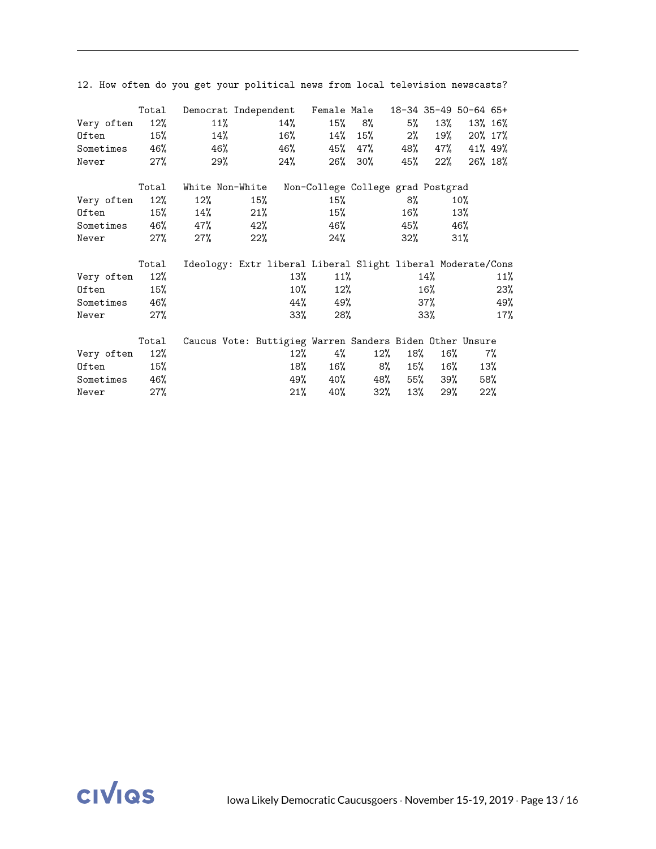| Very often<br>Often<br>Sometimes 46%<br>Never     | Total<br>12%<br>$15\%$<br>27%     | Democrat Independent Female Male<br>11%<br>14%<br>46%<br>29% |                          | 14%<br>$16\%$<br>46%<br>24% | 26%                      | 15% 8%<br>$14\%$ 15%<br>45% 47%<br>$30\%$ | 5%<br>2%<br>45%            | 13%<br>$22\%$            | 18-34 35-49 50-64 65+<br>19% 20% 17%<br>48% 47% 41% 49% | 13% 16%<br>26% 18%       |
|---------------------------------------------------|-----------------------------------|--------------------------------------------------------------|--------------------------|-----------------------------|--------------------------|-------------------------------------------|----------------------------|--------------------------|---------------------------------------------------------|--------------------------|
| Very often<br>Often<br>Sometimes 46% 47%<br>Never | Total<br>12%<br>$15\%$<br>27%     | White Non-White<br>12%<br>14%<br>27%                         | 15%<br>21%<br>42%<br>22% |                             | 15%<br>15%<br>46%<br>24% | Non-College College grad Postgrad         | 8%<br>16%<br>45%<br>$32\%$ |                          | $10\%$<br>13%<br>46%<br>31%                             |                          |
| Very often<br>Often<br>Sometimes 46%<br>Never     | Total<br>12%<br>15%<br>27%        | Ideology: Extr liberal Liberal Slight liberal Moderate/Cons  |                          | 13%<br>$10\%$<br>44%<br>33% | 49%<br>28%               | 11%<br>12%                                |                            | 14%<br>16%<br>37%<br>33% |                                                         | 11%<br>23%<br>49%<br>17% |
| Very often<br>Often<br>Sometimes<br>Never         | Total<br>12%<br>15%<br>46%<br>27% | Caucus Vote: Buttigieg Warren Sanders Biden Other Unsure     |                          | 18%<br>21%                  | 4%<br>12%<br>16%<br>40%  | 12%<br>8%<br>49% 40% 48% 55% 39%<br>32%   | 18%<br>13%                 | 15%<br>29%               | $16\%$<br>16%                                           | 7%<br>13%<br>58%<br>22%  |

12. How often do you get your political news from local television newscasts?

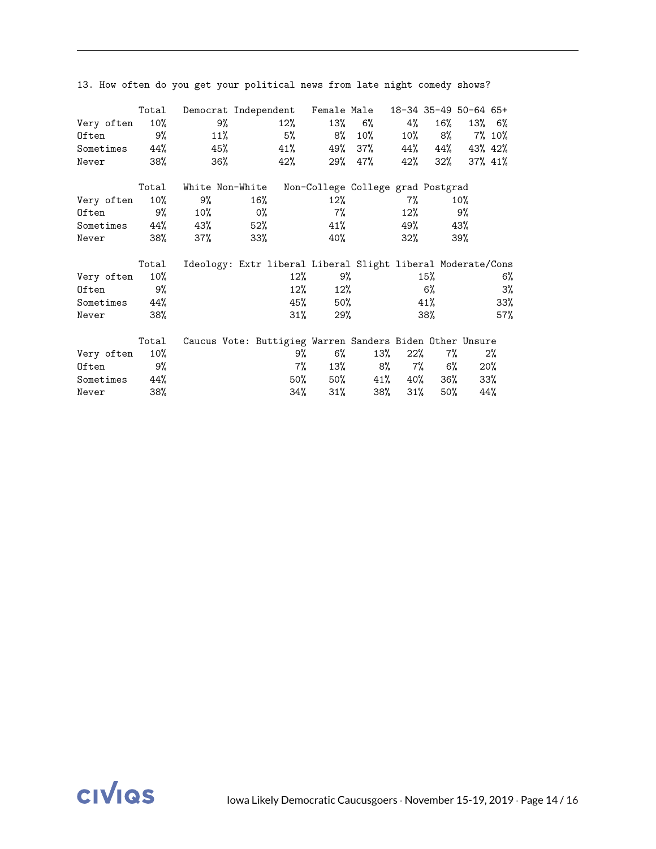|                   | Total  |                                                             | Democrat Independent Female Male 18-34 35-49 50-64 65+ |        |              |                                   |        |        |                      |        |
|-------------------|--------|-------------------------------------------------------------|--------------------------------------------------------|--------|--------------|-----------------------------------|--------|--------|----------------------|--------|
| Very often        | 10%    | 9%                                                          |                                                        | $12\%$ | 13%          | 6% and the set of $\sim$          | 4%     | 16%    |                      | 13% 6% |
| Often             | 9%     | 11%                                                         |                                                        | 5%     | 8%           | $10\%$                            |        | 10% 8% |                      | 7% 10% |
| Sometimes 44%     |        | 45%                                                         |                                                        | 41%    | 49%          | 37%                               |        |        | 44% 44% 43% 42%      |        |
| Never             | 38%    | 36%                                                         |                                                        | 42%    |              | 29% 47%                           | 42%    |        | $32\%$ $37\%$ $41\%$ |        |
|                   | Total  | White Non-White                                             |                                                        |        |              | Non-College College grad Postgrad |        |        |                      |        |
| Very often        | $10\%$ | 9%                                                          | 16%                                                    |        | 12%          |                                   | 7%     |        | $10\%$               |        |
| Often             |        | $9\%$ 10%                                                   | O <sub>0</sub>                                         |        | $7\%$        |                                   |        | 12%    | 9%                   |        |
| Sometimes 44% 43% |        |                                                             | $52\%$                                                 |        | 41%          |                                   | 49%    |        | 43%                  |        |
| Never             | 38%    | 37%                                                         | $33\%$                                                 |        | 40%          |                                   | $32\%$ |        | 39%                  |        |
|                   | Total  | Ideology: Extr liberal Liberal Slight liberal Moderate/Cons |                                                        |        |              |                                   |        |        |                      |        |
| Very often        | 10%    |                                                             |                                                        | $12\%$ |              | 9%                                |        | 15%    |                      | 6%     |
| Often             | 9%     |                                                             |                                                        |        | $12\%$       | $12\%$                            |        | 6%     |                      | 3%     |
| Sometimes         | 44%    |                                                             |                                                        | 45%    | 50%          |                                   |        | 41%    |                      | 33%    |
| Never             | 38%    |                                                             | $31\%$                                                 |        | 29%          |                                   | 38%    |        | 57%                  |        |
|                   | Total  | Caucus Vote: Buttigieg Warren Sanders Biden Other Unsure    |                                                        |        |              |                                   |        |        |                      |        |
| Very often        | 10%    |                                                             |                                                        | 9%     | 6%           | 13%                               | $22\%$ |        | $7\%$                | $2\%$  |
| Often             | 9%     |                                                             |                                                        |        | $7\%$<br>13% |                                   | 8% 7%  |        | 6%                   | $20\%$ |
| Sometimes 44%     |        |                                                             |                                                        |        |              | 50% 50% 41% 40% 36%               |        |        |                      | 33%    |
| Never             | 38%    |                                                             |                                                        | 34%    |              | 38%<br>$31\%$                     | $31\%$ | 50%    |                      | 44%    |

13. How often do you get your political news from late night comedy shows?

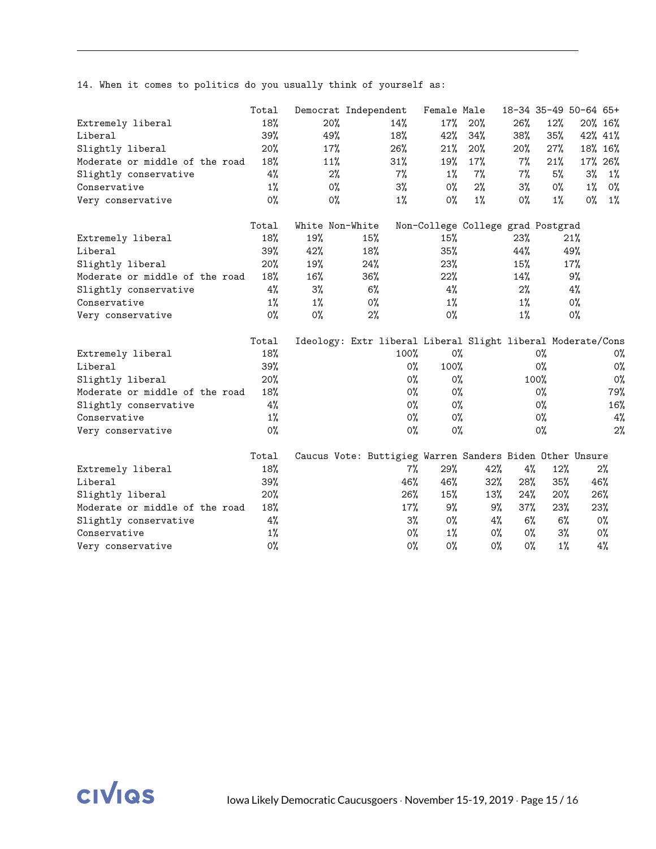14. When it comes to politics do you usually think of yourself as:

|                                |  | Total | Democrat Independent |       |       |                | Female Male |                                                             |       |       | 18-34 35-49 50-64 65+ |         |
|--------------------------------|--|-------|----------------------|-------|-------|----------------|-------------|-------------------------------------------------------------|-------|-------|-----------------------|---------|
| Extremely liberal              |  | 18%   |                      | 20%   |       | 14%            | 17%         | 20%                                                         | 26%   | 12%   |                       | 20% 16% |
| Liberal                        |  | 39%   |                      | 49%   |       | 18%            | 42%         | 34%                                                         | 38%   | 35%   |                       | 42% 41% |
| Slightly liberal               |  | 20%   |                      | 17%   |       | 26%            | 21%         | 20%                                                         | 20%   | 27%   |                       | 18% 16% |
| Moderate or middle of the road |  | 18%   |                      | 11%   |       | 31%            | 19%         | 17%                                                         | 7%    | 21%   |                       | 17% 26% |
| Slightly conservative          |  | 4%    |                      | 2%    |       | $7\%$          | $1\%$       | $7\%$                                                       | $7\%$ | 5%    | 3%                    | $1\%$   |
| Conservative                   |  | $1\%$ |                      | $0\%$ |       | 3%             | $0\%$       | $2\%$                                                       | $3\%$ | $0\%$ | $1\%$                 | 0%      |
| Very conservative              |  | 0%    |                      | 0%    |       | $1\%$          | 0%          | $1\%$                                                       | 0%    | $1\%$ | 0%                    | $1\%$   |
|                                |  | Total | White Non-White      |       |       |                |             | Non-College College grad Postgrad                           |       |       |                       |         |
| Extremely liberal              |  | 18%   | 19%                  |       | 15%   |                | 15%         |                                                             | 23%   |       | 21%                   |         |
| Liberal                        |  | 39%   | 42%                  |       | 18%   |                | 35%         |                                                             | 44%   |       | 49%                   |         |
| Slightly liberal               |  | 20%   | 19%                  |       | 24%   |                | 23%         |                                                             | 15%   |       | 17%                   |         |
| Moderate or middle of the road |  | 18%   | 16%                  |       | 36%   |                | 22%         |                                                             | 14%   |       | 9%                    |         |
| Slightly conservative          |  | 4%    | 3%                   |       | 6%    |                | 4%          |                                                             | 2%    |       | 4%                    |         |
| Conservative                   |  | $1\%$ | $1\%$                |       | $0\%$ |                | $1\%$       |                                                             | $1\%$ |       | $0\%$                 |         |
| Very conservative              |  | $0\%$ | 0%                   |       | 2%    |                | $0\%$       |                                                             | $1\%$ |       | $0\%$                 |         |
|                                |  | Total |                      |       |       |                |             | Ideology: Extr liberal Liberal Slight liberal Moderate/Cons |       |       |                       |         |
| Extremely liberal              |  | 18%   |                      |       |       | 100%           | 0%          |                                                             |       | $0\%$ |                       | 0%      |
| Liberal                        |  | 39%   |                      |       |       | O <sub>0</sub> | 100%        |                                                             |       | 0%    |                       | 0%      |
| Slightly liberal               |  | 20%   | $0\%$                |       | $0\%$ |                | 100%        |                                                             | 0%    |       |                       |         |
| Moderate or middle of the road |  | 18%   |                      |       |       | $0\%$          | $0\%$       |                                                             |       | $0\%$ |                       | 79%     |
| Slightly conservative          |  | 4%    |                      |       |       | 0%             | 0%          |                                                             |       | $0\%$ |                       | 16%     |
| Conservative                   |  | $1\%$ |                      |       |       | 0%             | 0%          |                                                             |       | $0\%$ |                       | 4%      |
| Very conservative              |  | $0\%$ |                      |       |       | 0%             | $0\%$       |                                                             |       | $0\%$ |                       | 2%      |
|                                |  | Total |                      |       |       |                |             | Caucus Vote: Buttigieg Warren Sanders Biden Other Unsure    |       |       |                       |         |
| Extremely liberal              |  | 18%   |                      |       |       | $7\%$          | 29%         | 42%                                                         | 4%    | 12%   |                       | 2%      |
| Liberal                        |  | 39%   |                      |       |       | 46%            | 46%         | 32%                                                         | 28%   | 35%   |                       | 46%     |
| Slightly liberal               |  | 20%   |                      |       |       | 26%            | 15%         | 13%                                                         | 24%   | 20%   |                       | 26%     |
| Moderate or middle of the road |  | 18%   |                      |       |       | 17%            | 9%          | 9%                                                          | 37%   | 23%   |                       | 23%     |
| Slightly conservative          |  | 4%    |                      |       |       | $3\%$          | $0\%$       | $4\%$                                                       | 6%    |       | $6\%$                 | 0%      |
| Conservative                   |  | $1\%$ |                      |       |       | $0\%$          | $1\%$       | $0\%$                                                       | 0%    |       | 3%                    | 0%      |
| Very conservative              |  | 0%    |                      |       |       | 0%             | 0%          | $0\%$                                                       | $0\%$ |       | $1\%$                 | $4\%$   |